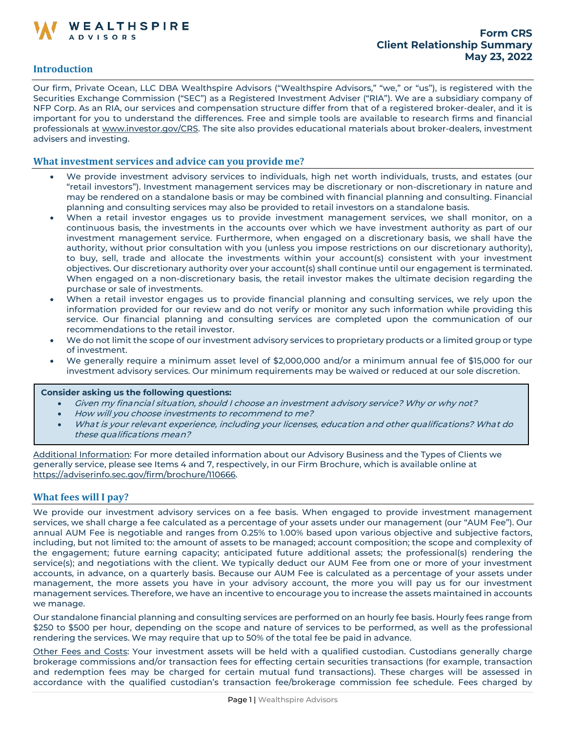

# **Introduction**

Our firm, Private Ocean, LLC DBA Wealthspire Advisors ("Wealthspire Advisors," "we," or "us"), is registered with the Securities Exchange Commission ("SEC") as a Registered Investment Adviser ("RIA"). We are a subsidiary company of NFP Corp. As an RIA, our services and compensation structure differ from that of a registered broker-dealer, and it is important for you to understand the differences. Free and simple tools are available to research firms and financial professionals at [www.investor.gov/CRS.](http://www.investor.gov/CRS) The site also provides educational materials about broker-dealers, investment advisers and investing.

#### **What investment services and advice can you provide me?**

- We provide investment advisory services to individuals, high net worth individuals, trusts, and estates (our "retail investors"). Investment management services may be discretionary or non-discretionary in nature and may be rendered on a standalone basis or may be combined with financial planning and consulting. Financial planning and consulting services may also be provided to retail investors on a standalone basis.
- When a retail investor engages us to provide investment management services, we shall monitor, on a continuous basis, the investments in the accounts over which we have investment authority as part of our investment management service. Furthermore, when engaged on a discretionary basis, we shall have the authority, without prior consultation with you (unless you impose restrictions on our discretionary authority), to buy, sell, trade and allocate the investments within your account(s) consistent with your investment objectives. Our discretionary authority over your account(s) shall continue until our engagement is terminated. When engaged on a non-discretionary basis, the retail investor makes the ultimate decision regarding the purchase or sale of investments.
- When a retail investor engages us to provide financial planning and consulting services, we rely upon the information provided for our review and do not verify or monitor any such information while providing this service. Our financial planning and consulting services are completed upon the communication of our recommendations to the retail investor.
- We do not limit the scope of our investment advisory services to proprietary products or a limited group or type of investment.
- We generally require a minimum asset level of \$2,000,000 and/or a minimum annual fee of \$15,000 for our investment advisory services. Our minimum requirements may be waived or reduced at our sole discretion.

#### **Consider asking us the following questions:**

- Given my financial situation, should I choose an investment advisory service? Why or why not?
- How will you choose investments to recommend to me?
- What is your relevant experience, including your licenses, education and other qualifications? What do these qualifications mean?

Additional Information: For more detailed information about our Advisory Business and the Types of Clients we generally service, please see Items 4 and 7, respectively, in our Firm Brochure, which is available online at [https://adviserinfo.sec.gov/firm/brochure/110666.](https://adviserinfo.sec.gov/firm/brochure/110666)

### **What fees will I pay?**

We provide our investment advisory services on a fee basis. When engaged to provide investment management services, we shall charge a fee calculated as a percentage of your assets under our management (our "AUM Fee"). Our annual AUM Fee is negotiable and ranges from 0.25% to 1.00% based upon various objective and subjective factors, including, but not limited to: the amount of assets to be managed; account composition; the scope and complexity of the engagement; future earning capacity; anticipated future additional assets; the professional(s) rendering the service(s); and negotiations with the client. We typically deduct our AUM Fee from one or more of your investment accounts, in advance, on a quarterly basis. Because our AUM Fee is calculated as a percentage of your assets under management, the more assets you have in your advisory account, the more you will pay us for our investment management services. Therefore, we have an incentive to encourage you to increase the assets maintained in accounts we manage.

Our standalone financial planning and consulting services are performed on an hourly fee basis. Hourly fees range from \$250 to \$500 per hour, depending on the scope and nature of services to be performed, as well as the professional rendering the services. We may require that up to 50% of the total fee be paid in advance.

Other Fees and Costs: Your investment assets will be held with a qualified custodian. Custodians generally charge brokerage commissions and/or transaction fees for effecting certain securities transactions (for example, transaction and redemption fees may be charged for certain mutual fund transactions). These charges will be assessed in accordance with the qualified custodian's transaction fee/brokerage commission fee schedule. Fees charged by